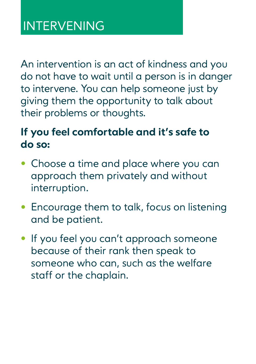An intervention is an act of kindness and you do not have to wait until a person is in danger to intervene. You can help someone just by giving them the opportunity to talk about their problems or thoughts.

#### **If you feel comfortable and it's safe to do so:**

- **•** Choose a time and place where you can approach them privately and without interruption.
- **•** Encourage them to talk, focus on listening and be patient.
- **•** If you feel you can't approach someone because of their rank then speak to someone who can, such as the welfare staff or the chaplain.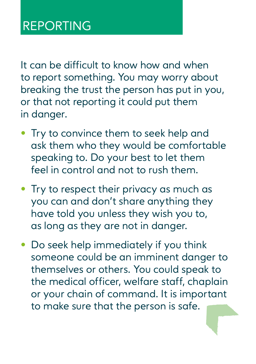It can be difficult to know how and when to report something. You may worry about breaking the trust the person has put in you, or that not reporting it could put them in danger.

- **•** Try to convince them to seek help and ask them who they would be comfortable speaking to. Do your best to let them feel in control and not to rush them.
- **•** Try to respect their privacy as much as you can and don't share anything they have told you unless they wish you to, as long as they are not in danger.
- **•** Do seek help immediately if you think someone could be an imminent danger to themselves or others. You could speak to the medical officer, welfare staff, chaplain or your chain of command. It is important to make sure that the person is safe.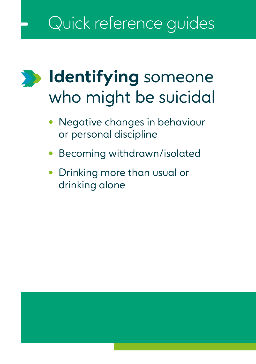# Quick reference guides

## **Identifying** someone  $\sum$ who might be suicidal

- **•** Negative changes in behaviour or personal discipline
- **•** Becoming withdrawn/isolated
- **•** Drinking more than usual or drinking alone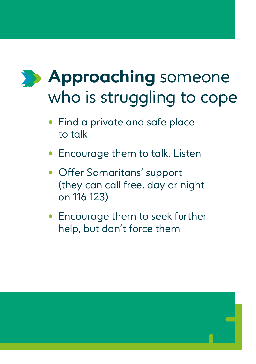# **Approaching** someone who is struggling to cope

- **•** Find a private and safe place to talk
- **•** Encourage them to talk. Listen
- **•** Offer Samaritans' support (they can call free, day or night on 116 123)
- **•** Encourage them to seek further help, but don't force them

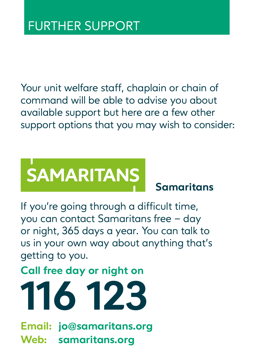Your unit welfare staff, chaplain or chain of command will be able to advise you about available support but here are a few other support options that you may wish to consider:

# **SAMARITANS**

**Samaritans**

If you're going through a difficult time, you can contact Samaritans free – day or night, 365 days a year. You can talk to us in your own way about anything that's getting to you.

**Call free day or night on**



**Email: jo@samaritans.org Web: samaritans.org**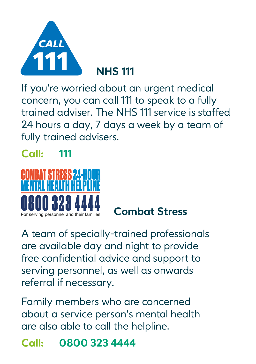

**NHS 111**

If you're worried about an urgent medical **The NHS** m you re womed doot an orgent medical<br>concern, you can call 111 to speak to a fully trained adviser. The NHS 111 service is staffed 24 hours a day, 7 days a week by a team of fully trained advisers.

## **Call: 111**



**Combat Stress**

A team of specially-trained professionals are available day and night to provide free confidential advice and support to serving personnel, as well as onwards referral if necessary.

Family members who are concerned about a service person's mental health are also able to call the helpline.

**Call: 0800 323 4444**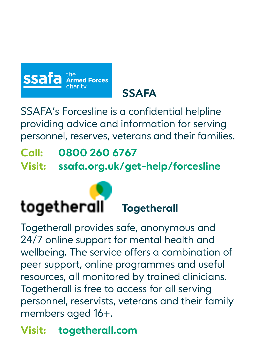

**SSAFA**

SSAFA's Forcesline is a confidential helpline providing advice and information for serving personnel, reserves, veterans and their families.

**Call: 0800 260 6767 Visit: ssafa.org.uk/get-help/forcesline**



Togetherall provides safe, anonymous and 24/7 online support for mental health and wellbeing. The service offers a combination of peer support, online programmes and useful resources, all monitored by trained clinicians. Togetherall is free to access for all serving personnel, reservists, veterans and their family members aged 16+.

**Visit: togetherall.com**